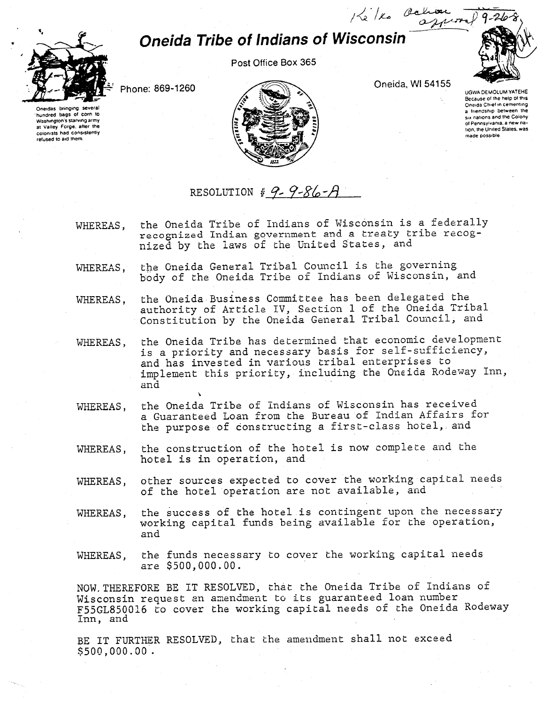## Oneida Tribe of Indians of Wisconsin





hundred bags of corn to WasNngton's starving army at Valley Forge, after the colonists had consistently refused to aid them.

Oneida, Wl 54155

Ke / Ko Ochion -

9

Phone; 869-1260



ugwa demolum yatehe Because of the help of this Oneida Chief in cementing a friendship between the SIX nations and the Colony of Pennsylvania, a new nation. the United States, was made possible

### RESOLUTION #  $9 - 9 - 86 - A$

- WHEREAS, the Oneida Tribe of Indians of Wisconsin is a federally recognized Indian government and a treaty tribe recognized by the laws of the United States, and
- WHEREAS, the Oneida General Tribal Council is the governing body of the Oneida Tribe of Indians of Wisconsin, and
- WHEREAS, the Oneida Business Committee has been delegated the authority of Article IV, Section 1 of the Oneida Tribal Constitution by the Oneida General Tribal Councilj and
- WHEREAS, the Oneida Tribe has determined that economic development is a priority and necessary basis for self-sufficiency, and has invested in various tribal enterprises to implement this priority, including the Oneida Rodeway Inn, and
- WHEREAS, the Oneida Tribe of Indians of Wisconsin has received a Guaranteed Loan from the Bureau of Indian Affairs for the purpose of constructing a first-class hotel, and
- WHEREAS, the construction of the hotel is now complete and the hotel is in operation, and
- WHEREAS, other sources expected to cover the working capital needs of the hotel operation are not available, and
- WHEREAS, the success of the hotel is contingent upon the necessary working capital funds being available for the operation, and
- WHEREAS, the funds necessary to cover the working capital needs are \$500,000.00.

NOW,THEREFORE BE IT RESOLVED, that the Oneida Tribe of Indians of Wisconsin request an amendment to its guaranteed loan number F55GL850016 to cover the working capital needs of the Oneida Rodeway Inn, and

BE IT FURTHER RESOLVED, that the amendment shall not exceed \$500,000.00.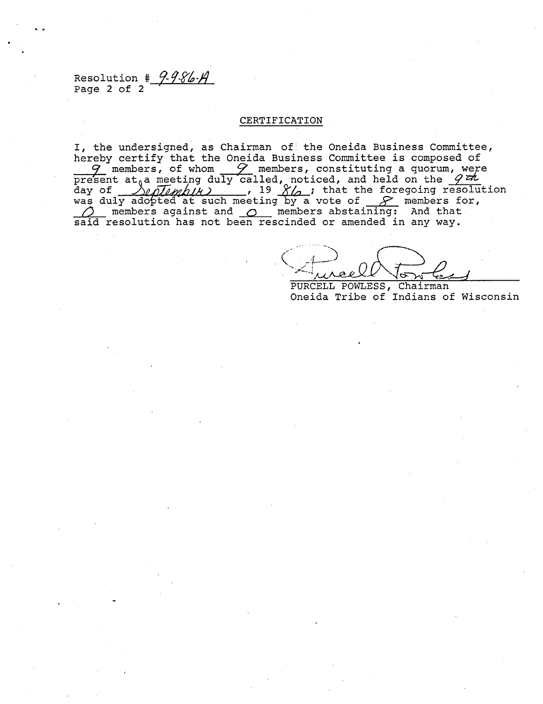Resolution  $\frac{4}{3}$  9-9-86- $\cancel{A}$ Page 2 of 2

#### CERTIFICATION

I, the undersigned, as Chairman of the Oneida Business Committee, hereby certify that the Oneida Business Committee is composed of  $q$  members, of whom  $q$  members, constituting a quorum, were present at<sub>0</sub>a meeting duly called, noticed, and held on the  $\mathscr G$ day of *Dunlumbin)* , 19 Xb ; that the foregoing resolution was duly adopted at such meeting by a vote of  $\mathscr{S}$  members for,  $\bigcirc$  members against and  $\bigcirc$  members abstaining: And that said resolution has not been rescinded or amended in any way.

PURCELL POWLESS, Chairman Oneida Tribe of Indians of Wisconsin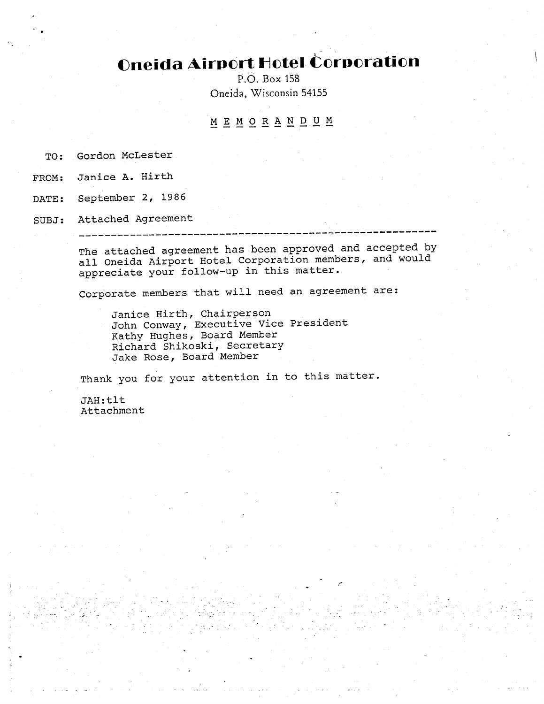# **Oneida Airport Hotel Corporation**

P.O. Box 158 Oneida, Wisconsin 54155

### MEMORANDU M

TO: Gordon McLester

FROM: Janice A. Hirth

DATE: September 2, 1986

SUBJ: Attached Agreement

The attached agreement has been approved and accepted by all Oneida Airport Hotel Corporation members, and would appreciate your follow—up in this matter.

Corporate members that will need an agreement are:

Janice Hirth, Chairperson John Conway, Executive Vice President Kathy Hughes, Board Member Richard Shikoski, Secretary Jake Rose, Board Member

Thank you for your attention in to this matter.

JAH:tit Attachment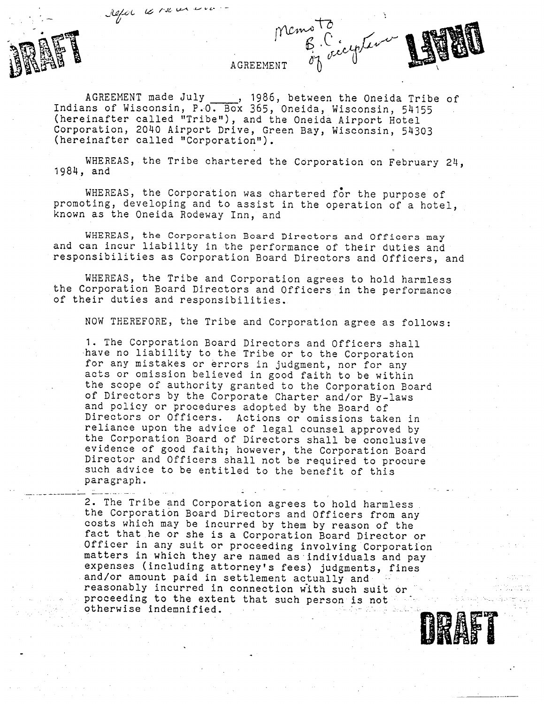refer le rue en com-



#### **AGREEMENT**

 $12.77$ 

U

AGREEMENT made July \_\_\_\_\_, 1986, between the Oneida Tribe of Indians of Wisconsin, P.O. Box 365, Oneida, Wisconsin, 54155 (hereinafter called "Tribe"), and the Oneida Airport Hotel Corporation, 2040 Airport Drive, Green Bay, Wisconsin, 54303 (hereinafter called "Corporation").

WHEREAS, the Tribe chartered the Corporation on February 24, 1984, and

WHEREAS, the Corporation was chartered for the purpose of promoting, developing and to assist in the operation of a hotel, known as the Oneida Rodeway Inn, and

WHEREAS, the Corporation Board Directors and Officers may and can incur liability in the performance of their duties and responsibilities as Corporation Board Directors and Officers, and

WHEREAS, the Tribe and Corporation agrees to hold harmless the Corporation Board Directors and Officers in the performance of their duties and responsibilities.

NOW THEREFORE, the Tribe and Corporation agree as follows;

1. The Corporation Board Directors and Officers shall have no liability to the Tribe or to the Corporation for any mistakes or errors in judgment, nor for any acts or omission believed in good faith to be within the scope of authority granted to the Corporation Board of Directors by the Corporate Charter and/or By-laws and policy or procedures adopted by the Board of Directors or Officers. Actions or omissions taken in reliance upon the advice of legal counsel approved by the Corporation Board of Directors shall be conclusive evidence of good faith; however, the Corporation Board Director and Officers shall not be required to procure such advice to be entitled to the benefit of this paragraph.

2. The Tribe and Corporation agrees to hold harmless the Corporation Board Directors and Officers from any costs which may be incurred by them by reason of the fact that he or she is a Corporation Board Director or Officer in any suit or proceeding involving Corporation matters in which they are named as individuals and pay expenses (including attorney's fees) judgments, fines and/or amount paid in settlement actually and reasonably incurred in connection with such suit or proceeding to the extent that such person is not otherwise indemnified.